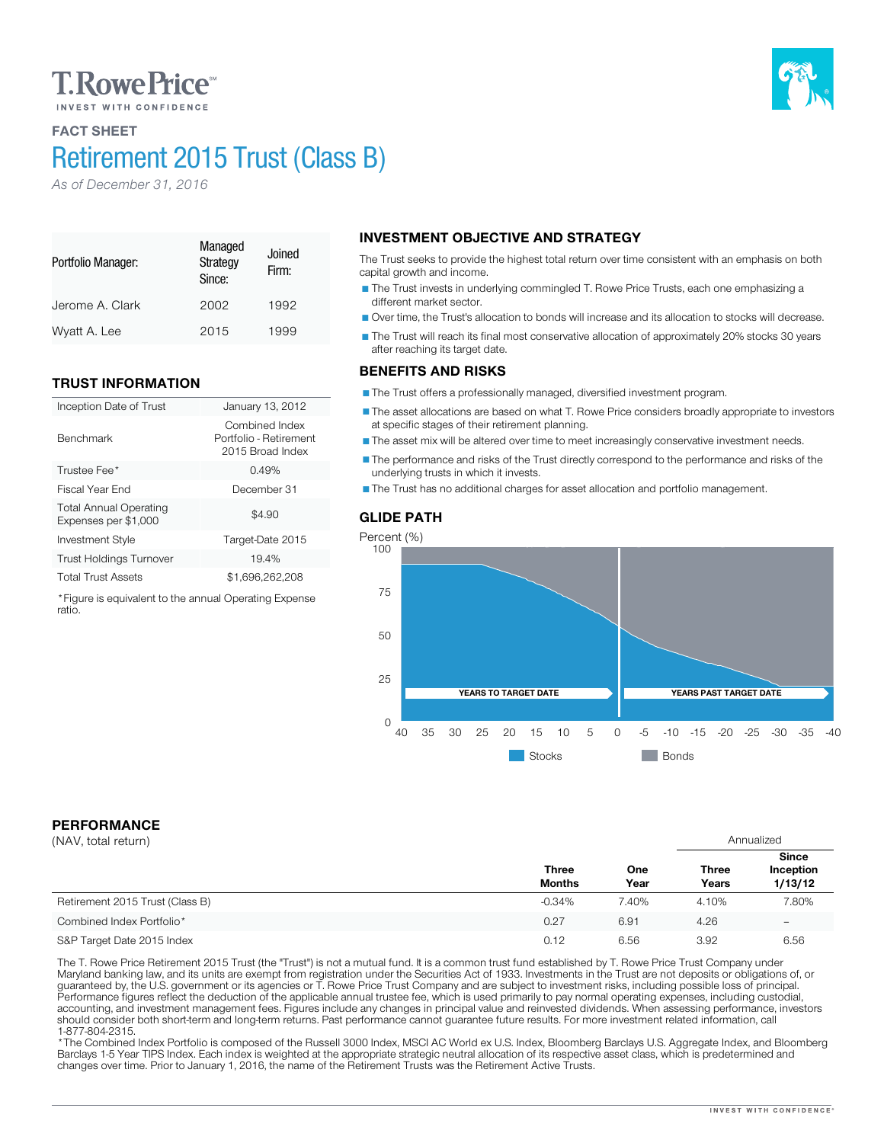# **T. Rowe Price**

# FACT SHEET Retirement 2015 Trust (Class B)

Jerome A. Clark 2002 1992 Wyatt A. Lee 2015 1999

Inception Date of Trust January 13, 2012

Investment Style Target-Date 2015 Trust Holdings Turnover 19.4% Total Trust Assets \$1,696,262,208 \*Figure is equivalent to the annual Operating Expense

Trustee Fee\* 3.49% Fiscal Year End December 31

Managed **Strategy** Since:

Joined Firm:

Combined Index Portfolio - Retirement 2015 Broad Index

 $$4.90$ 

*As of December 31, 2016*

TRUST INFORMATION

Total Annual Operating Expenses per \$1,000

Portfolio Manager:

Benchmark

ratio.

# INVESTMENT OBJECTIVE AND STRATEGY

The Trust seeks to provide the highest total return over time consistent with an emphasis on both capital growth and income.

The Trust invests in underlying commingled T. Rowe Price Trusts, each one emphasizing a different market sector.

Over time, the Trust's allocation to bonds will increase and its allocation to stocks will decrease.

The Trust will reach its final most conservative allocation of approximately 20% stocks 30 years after reaching its target date.

## BENEFITS AND RISKS

The Trust offers a professionally managed, diversified investment program.

The asset allocations are based on what T. Rowe Price considers broadly appropriate to investors at specific stages of their retirement planning.

The asset mix will be altered over time to meet increasingly conservative investment needs.

The performance and risks of the Trust directly correspond to the performance and risks of the underlying trusts in which it invests.

The Trust has no additional charges for asset allocation and portfolio management.





# PERFORMANCE

| (NAV, total return)             |                               |             | Annualized            |                                      |
|---------------------------------|-------------------------------|-------------|-----------------------|--------------------------------------|
|                                 | <b>Three</b><br><b>Months</b> | One<br>Year | <b>Three</b><br>Years | <b>Since</b><br>Inception<br>1/13/12 |
| Retirement 2015 Trust (Class B) | $-0.34%$                      | 7.40%       | 4.10%                 | 7.80%                                |
| Combined Index Portfolio*       | 0.27                          | 6.91        | 4.26                  | -                                    |
| S&P Target Date 2015 Index      | 0.12                          | 6.56        | 3.92                  | 6.56                                 |

The T. Rowe Price Retirement 2015 Trust (the "Trust") is not a mutual fund. It is a common trust fund established by T. Rowe Price Trust Company under<br>Maryland banking law, and its units are exempt from registration under should consider both short-term and long-term returns. Past performance cannot guarantee future results. For more investment related information, call<br>1-877-804-2315.

\* The Combined Index Portfolio is composed of the Russell 3000 Index, MSCI AC World ex U.S. Index, Bloomberg Barclays U.S. Aggregate Index, and Bloomberg Barclays 1-5 Year TIPS Index. Each index is weighted at the appropriate strategic neutral allocation of its respective asset class, which is predetermined and changes over time. Prior to January 1, 2016, the name of the Retirement Trusts was the Retirement Active Trusts.

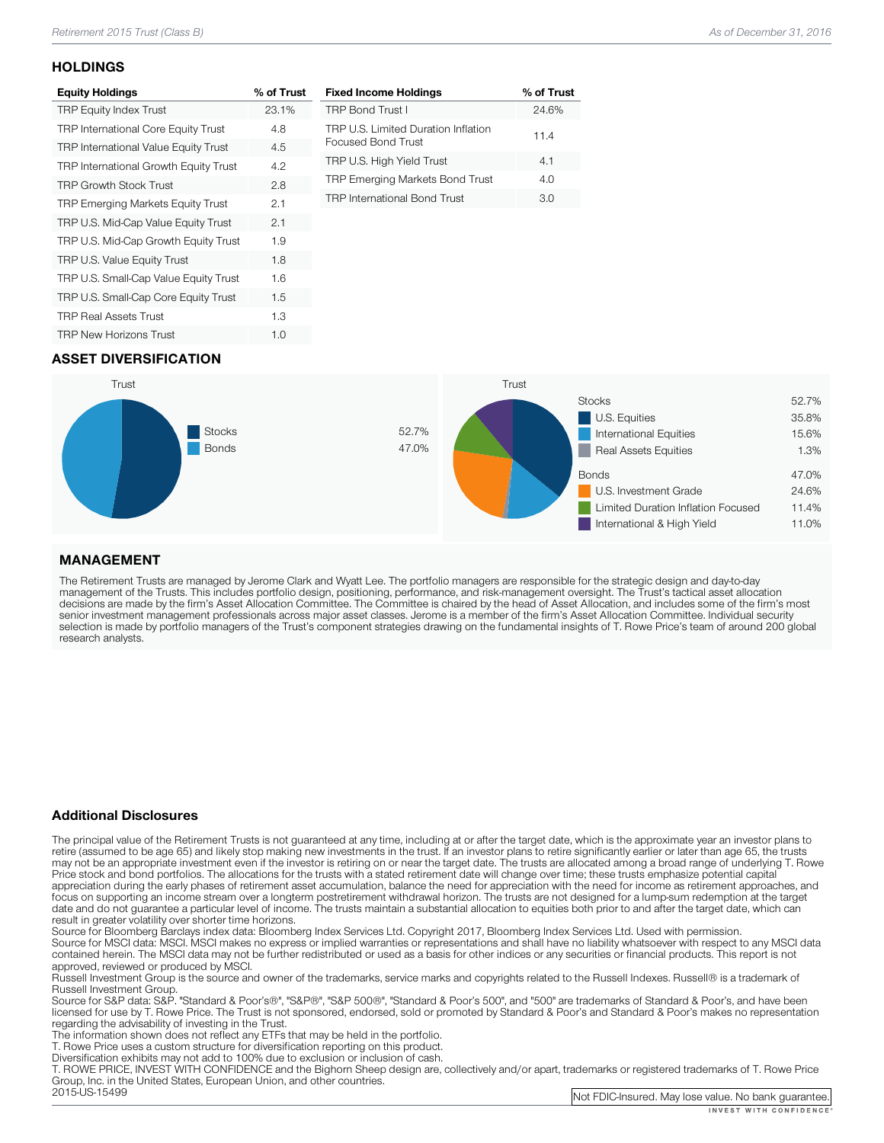### **HOLDINGS**

| <b>Equity Holdings</b>                      | % of Trust |
|---------------------------------------------|------------|
| <b>TRP Equity Index Trust</b>               | 23.1%      |
| <b>TRP International Core Equity Trust</b>  | 4.8        |
| <b>TRP International Value Equity Trust</b> | 4.5        |
| TRP International Growth Equity Trust       | 4.2        |
| <b>TRP Growth Stock Trust</b>               | 2.8        |
| TRP Emerging Markets Equity Trust           | 2.1        |
| TRP U.S. Mid-Cap Value Equity Trust         | 2.1        |
| TRP U.S. Mid-Cap Growth Equity Trust        | 1.9        |
| TRP U.S. Value Equity Trust                 | 1.8        |
| TRP U.S. Small-Cap Value Equity Trust       | 1.6        |
| TRP U.S. Small-Cap Core Equity Trust        | 1.5        |
| <b>TRP Real Assets Trust</b>                | 1.3        |
| <b>TRP New Horizons Trust</b>               | 1.0        |

| <b>Fixed Income Holdings</b>                              | % of Trust |
|-----------------------------------------------------------|------------|
| <b>TRP Bond Trust I</b>                                   | 24.6%      |
| TRP U.S. Limited Duration Inflation<br>Focused Bond Trust | 11.4       |
| TRP U.S. High Yield Trust                                 | 4.1        |
| TRP Emerging Markets Bond Trust                           | 4.O        |
| <b>TRP International Bond Trust</b>                       | 3.0        |

## ASSET DIVERSIFICATION



## MANAGEMENT

The Retirement Trusts are managed by Jerome Clark and Wyatt Lee. The portfolio managers are responsible for the strategic design and day-to-day<br>management of the Trusts. This includes portfolio design, positioning, perform research analysts.

### Additional Disclosures

The principal value of the Retirement Trusts is not guaranteed at any time, including at or after the target date, which is the approximate year an investor plans to retire (assumed to be age 65) and likely stop making new may not be an appropriate investment even if the investor is retiring on or near the target date. The trusts are allocated among a broad range of underlying T. Rowe<br>Price stock and bond portfolios. The allocations for the focus on supporting an income stream over a longterm postretirement withdrawal horizon. The trusts are not designed for a lump-sum redemption at the target date and do not guarantee a particular level of income. The trusts maintain a substantial allocation to equities both prior to and after the target date, which can result in greater volatility over shorter time horizons.

Source for Bloomberg Barclays index data: Bloomberg Index Services Ltd. Copyright 2017, Bloomberg Index Services Ltd. Used with permission.<br>Source for MSCI data: MSCI. MSCI makes no express or implied warranties or represe

approved, reviewed or produced by MSCI.<br>Russell Investment Group is the source and owner of the trademarks, service marks and copyrights related to the Russell Indexes. Russell® is a trademark of<br>Russell Investment Group.

Russell Investment Group. Source Group and Group", "Same Standard Group", "Standard Group", and "500" are trademarks of Standard & Poor's, and have been licensed for use by T. Rowe Price. The Trust is not sponsored, endorsed, sold or promoted by Standard & Poor's and Standard & Poor's makes no representation<br>regarding the advisability of investing in the Trust.

The information shown does not reflect any ETFs that may be held in the portfolio.<br>T. Rowe Price uses a custom structure for diversification reporting on this product.<br>Diversification exhibits may not add to 100% due to ex